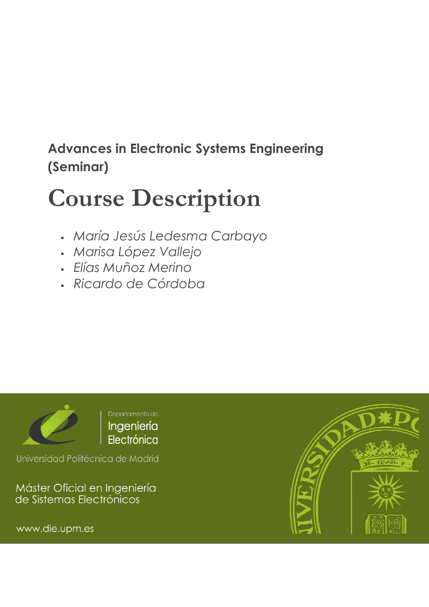## Advances in Electronic Systems Engineering (Seminar)

# Course Description

- María Jesús Ledesma Carbayo
- Marisa López Vallejo
- Elías Muñoz Merino
- Ricardo de Córdoba



Universidad Politécnica de Madrid

Máster Oficial en Ingeniería<br>de Sistemas Electrónicos

www.die.upm.es

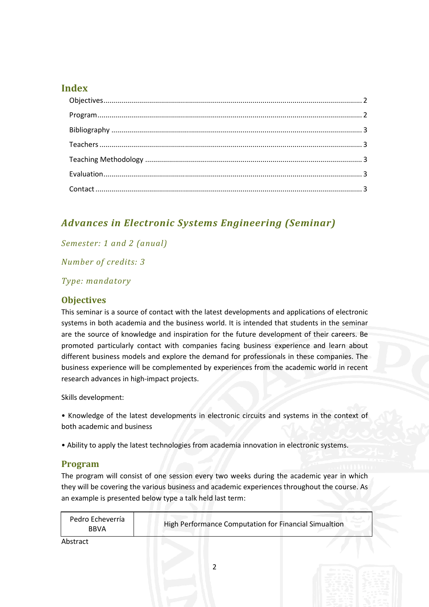#### Index

### Advances in Electronic Systems Engineering (Seminar)

#### Semester: 1 and 2 (anual)

Number of credits: 3

#### Type: mandatory

#### **Objectives**

This seminar is a source of contact with the latest developments and applications of electronic systems in both academia and the business world. It is intended that students in the seminar are the source of knowledge and inspiration for the future development of their careers. Be promoted particularly contact with companies facing business experience and learn about different business models and explore the demand for professionals in these companies. The business experience will be complemented by experiences from the academic world in recent research advances in high-impact projects.

Skills development:

• Knowledge of the latest developments in electronic circuits and systems in the context of both academic and business

• Ability to apply the latest technologies from academia innovation in electronic systems.

#### Program

The program will consist of one session every two weeks during the academic year in which they will be covering the various business and academic experiences throughout the course. As an example is presented below type a talk held last term:

| Pedro Echeverría<br><b>BBVA</b> | High Performance Computation for Financial Simualtion |  |
|---------------------------------|-------------------------------------------------------|--|
| <b>Ahstract</b>                 |                                                       |  |

Abstract